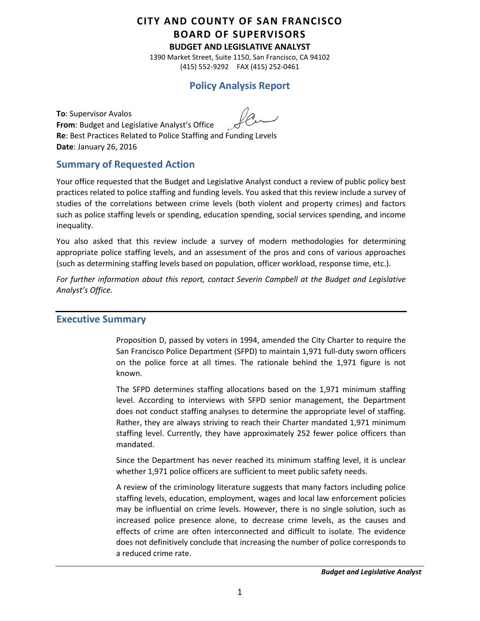# **CITY AND COUNTY OF SAN FRANCISCO BOARD OF SUPERVISORS**

**BUDGET AND LEGISLATIVE ANALYST**

1390 Market Street, Suite 1150, San Francisco, CA 94102 (415) 552-9292 FAX (415) 252-0461

# **Policy Analysis Report**

**To**: Supervisor Avalos **From**: Budget and Legislative Analyst's Office **Re**: Best Practices Related to Police Staffing and Funding Levels **Date**: January 26, 2016

## **Summary of Requested Action**

Your office requested that the Budget and Legislative Analyst conduct a review of public policy best practices related to police staffing and funding levels. You asked that this review include a survey of studies of the correlations between crime levels (both violent and property crimes) and factors such as police staffing levels or spending, education spending, social services spending, and income inequality.

You also asked that this review include a survey of modern methodologies for determining appropriate police staffing levels, and an assessment of the pros and cons of various approaches (such as determining staffing levels based on population, officer workload, response time, etc.).

*For further information about this report, contact Severin Campbell at the Budget and Legislative Analyst's Office.*

#### **Executive Summary**

Proposition D, passed by voters in 1994, amended the City Charter to require the San Francisco Police Department (SFPD) to maintain 1,971 full-duty sworn officers on the police force at all times. The rationale behind the 1,971 figure is not known.

The SFPD determines staffing allocations based on the 1,971 minimum staffing level. According to interviews with SFPD senior management, the Department does not conduct staffing analyses to determine the appropriate level of staffing. Rather, they are always striving to reach their Charter mandated 1,971 minimum staffing level. Currently, they have approximately 252 fewer police officers than mandated.

Since the Department has never reached its minimum staffing level, it is unclear whether 1,971 police officers are sufficient to meet public safety needs.

A review of the criminology literature suggests that many factors including police staffing levels, education, employment, wages and local law enforcement policies may be influential on crime levels. However, there is no single solution, such as increased police presence alone, to decrease crime levels, as the causes and effects of crime are often interconnected and difficult to isolate. The evidence does not definitively conclude that increasing the number of police corresponds to a reduced crime rate.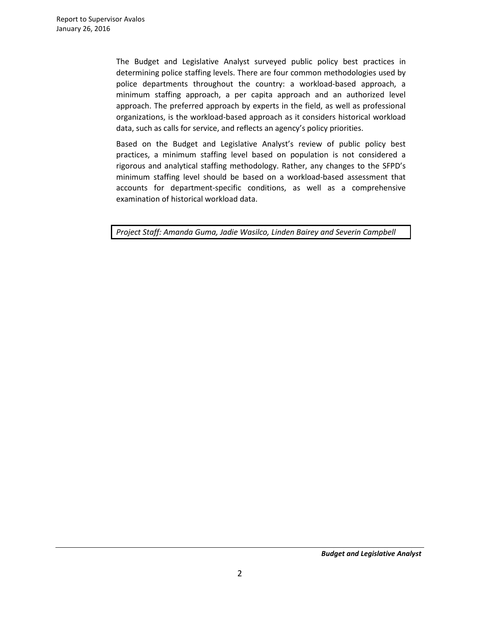The Budget and Legislative Analyst surveyed public policy best practices in determining police staffing levels. There are four common methodologies used by police departments throughout the country: a workload-based approach, a minimum staffing approach, a per capita approach and an authorized level approach. The preferred approach by experts in the field, as well as professional organizations, is the workload-based approach as it considers historical workload data, such as calls for service, and reflects an agency's policy priorities.

Based on the Budget and Legislative Analyst's review of public policy best practices, a minimum staffing level based on population is not considered a rigorous and analytical staffing methodology. Rather, any changes to the SFPD's minimum staffing level should be based on a workload-based assessment that accounts for department-specific conditions, as well as a comprehensive examination of historical workload data.

*Project Staff: Amanda Guma, Jadie Wasilco, Linden Bairey and Severin Campbell*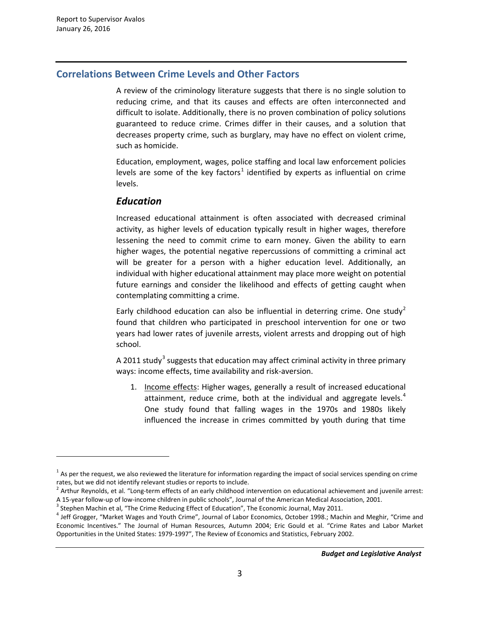$\overline{a}$ 

# **Correlations Between Crime Levels and Other Factors**

A review of the criminology literature suggests that there is no single solution to reducing crime, and that its causes and effects are often interconnected and difficult to isolate. Additionally, there is no proven combination of policy solutions guaranteed to reduce crime. Crimes differ in their causes, and a solution that decreases property crime, such as burglary, may have no effect on violent crime, such as homicide.

Education, employment, wages, police staffing and local law enforcement policies levels are some of the key factors<sup>[1](#page-2-0)</sup> identified by experts as influential on crime levels.

### *Education*

Increased educational attainment is often associated with decreased criminal activity, as higher levels of education typically result in higher wages, therefore lessening the need to commit crime to earn money. Given the ability to earn higher wages, the potential negative repercussions of committing a criminal act will be greater for a person with a higher education level. Additionally, an individual with higher educational attainment may place more weight on potential future earnings and consider the likelihood and effects of getting caught when contemplating committing a crime.

Early childhood education can also be influential in deterring crime. One study<sup>[2](#page-2-1)</sup> found that children who participated in preschool intervention for one or two years had lower rates of juvenile arrests, violent arrests and dropping out of high school.

A 2011 study<sup>[3](#page-2-2)</sup> suggests that education may affect criminal activity in three primary ways: income effects, time availability and risk-aversion.

1. Income effects: Higher wages, generally a result of increased educational attainment, reduce crime, both at the individual and aggregate levels.<sup>[4](#page-2-3)</sup> One study found that falling wages in the 1970s and 1980s likely influenced the increase in crimes committed by youth during that time

<span id="page-2-0"></span> $1$  As per the request, we also reviewed the literature for information regarding the impact of social services spending on crime

<span id="page-2-1"></span>rates, but we did not identify relevant studies or reports to include.<br><sup>2</sup> Arthur Reynolds, et al. "Long-term effects of an early childhood intervention on educational achievement and juvenile arrest: A 15-year follow-up of low-income children in public schools", Journal of the American Medical Association, 2001.<br><sup>3</sup> Stephen Machin et al, "The Crime Reducing Effect of Education", The Economic Journal, May 2011.<br><sup>4</sup> Jeff

<span id="page-2-2"></span>

<span id="page-2-3"></span>Economic Incentives." The Journal of Human Resources, Autumn 2004; Eric Gould et al. "Crime Rates and Labor Market Opportunities in the United States: 1979-1997", The Review of Economics and Statistics, February 2002.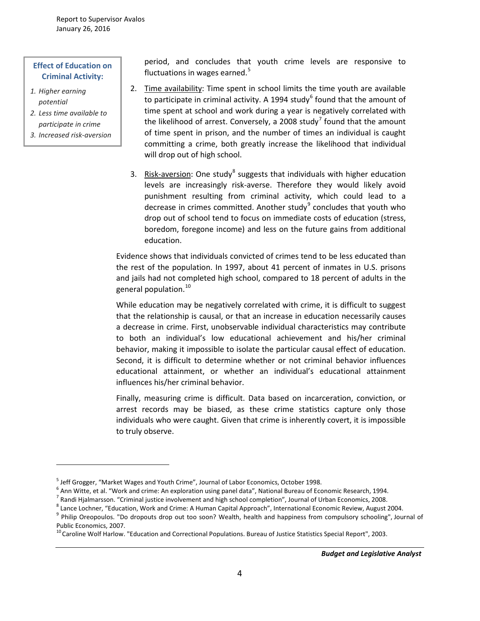#### **Effect of Education on Criminal Activity:**

*1. Higher earning potential*

 $\overline{a}$ 

- *2. Less time available to participate in crime*
- *3. Increased risk-aversion*

period, and concludes that youth crime levels are responsive to fluctuations in wages earned.<sup>[5](#page-3-0)</sup>

- 2. Time availability: Time spent in school limits the time youth are available to participate in criminal activity. A 1994 study $6$  found that the amount of time spent at school and work during a year is negatively correlated with the likelihood of arrest. Conversely, a 2008 study<sup>[7](#page-3-2)</sup> found that the amount of time spent in prison, and the number of times an individual is caught committing a crime, both greatly increase the likelihood that individual will drop out of high school.
- 3. Risk-aversion: One study<sup>[8](#page-3-3)</sup> suggests that individuals with higher education levels are increasingly risk-averse. Therefore they would likely avoid punishment resulting from criminal activity, which could lead to a decrease in crimes committed. Another study $9$  concludes that youth who drop out of school tend to focus on immediate costs of education (stress, boredom, foregone income) and less on the future gains from additional education.

Evidence shows that individuals convicted of crimes tend to be less educated than the rest of the population. In 1997, about 41 percent of inmates in U.S. prisons and jails had not completed high school, compared to 18 percent of adults in the general population. [10](#page-3-5)

While education may be negatively correlated with crime, it is difficult to suggest that the relationship is causal, or that an increase in education necessarily causes a decrease in crime. First, unobservable individual characteristics may contribute to both an individual's low educational achievement and his/her criminal behavior, making it impossible to isolate the particular causal effect of education. Second, it is difficult to determine whether or not criminal behavior influences educational attainment, or whether an individual's educational attainment influences his/her criminal behavior.

Finally, measuring crime is difficult. Data based on incarceration, conviction, or arrest records may be biased, as these crime statistics capture only those individuals who were caught. Given that crime is inherently covert, it is impossible to truly observe.

<span id="page-3-3"></span><span id="page-3-2"></span><span id="page-3-1"></span><span id="page-3-0"></span>

<span id="page-3-4"></span>

<sup>&</sup>lt;sup>5</sup> Jeff Grogger, "Market Wages and Youth Crime", Journal of Labor Economics, October 1998.<br>
<sup>6</sup> Ann Witte, et al. "Work and crime: An exploration using panel data", National Bureau of Economic Research, 1994.<br>
<sup>7</sup> Randi Public Economics, 2007.<br><sup>10</sup> Caroline Wolf Harlow. "Education and Correctional Populations. Bureau of Justice Statistics Special Report", 2003.

<span id="page-3-5"></span>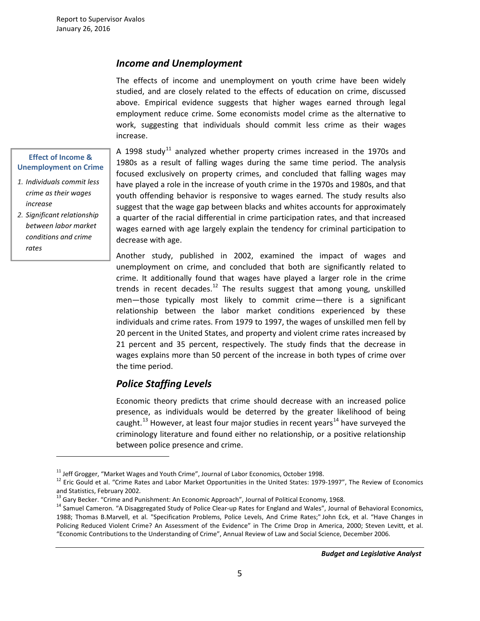### *Income and Unemployment*

The effects of income and unemployment on youth crime have been widely studied, and are closely related to the effects of education on crime, discussed above. Empirical evidence suggests that higher wages earned through legal employment reduce crime. Some economists model crime as the alternative to work, suggesting that individuals should commit less crime as their wages increase.

#### **Effect of Income & Unemployment on Crime**

*1. Individuals commit less crime as their wages increase*

*2. Significant relationship between labor market conditions and crime rates*

 $\overline{a}$ 

A 1998 study<sup>[11](#page-4-0)</sup> analyzed whether property crimes increased in the 1970s and 1980s as a result of falling wages during the same time period. The analysis focused exclusively on property crimes, and concluded that falling wages may have played a role in the increase of youth crime in the 1970s and 1980s, and that youth offending behavior is responsive to wages earned. The study results also suggest that the wage gap between blacks and whites accounts for approximately a quarter of the racial differential in crime participation rates, and that increased wages earned with age largely explain the tendency for criminal participation to decrease with age.

Another study, published in 2002, examined the impact of wages and unemployment on crime, and concluded that both are significantly related to crime. It additionally found that wages have played a larger role in the crime trends in recent decades.<sup>[12](#page-4-1)</sup> The results suggest that among young, unskilled men—those typically most likely to commit crime—there is a significant relationship between the labor market conditions experienced by these individuals and crime rates. From 1979 to 1997, the wages of unskilled men fell by 20 percent in the United States, and property and violent crime rates increased by 21 percent and 35 percent, respectively. The study finds that the decrease in wages explains more than 50 percent of the increase in both types of crime over the time period.

### *Police Staffing Levels*

Economic theory predicts that crime should decrease with an increased police presence, as individuals would be deterred by the greater likelihood of being caught.<sup>[13](#page-4-2)</sup> However, at least four major studies in recent years<sup>[14](#page-4-3)</sup> have surveyed the criminology literature and found either no relationship, or a positive relationship between police presence and crime.

<span id="page-4-1"></span><span id="page-4-0"></span><sup>&</sup>lt;sup>11</sup> Jeff Grogger, "Market Wages and Youth Crime", Journal of Labor Economics, October 1998.<br><sup>12</sup> Eric Gould et al. "Crime Rates and Labor Market Opportunities in the United States: 1979-1997", The Review of Economics and Statistics, February 2002.<br><sup>13</sup> Gary Becker. "Crime and Punishment: An Economic Approach", Journal of Political Economy, 1968.

<span id="page-4-2"></span>

<span id="page-4-3"></span><sup>&</sup>lt;sup>14</sup> Samuel Cameron. "A Disaggregated Study of Police Clear-up Rates for England and Wales", Journal of Behavioral Economics, 1988; Thomas B.Marvell, et al. "Specification Problems, Police Levels, And Crime Rates;" John Eck, et al. "Have Changes in Policing Reduced Violent Crime? An Assessment of the Evidence" in The Crime Drop in America, 2000; Steven Levitt, et al. "Economic Contributions to the Understanding of Crime", Annual Review of Law and Social Science, December 2006.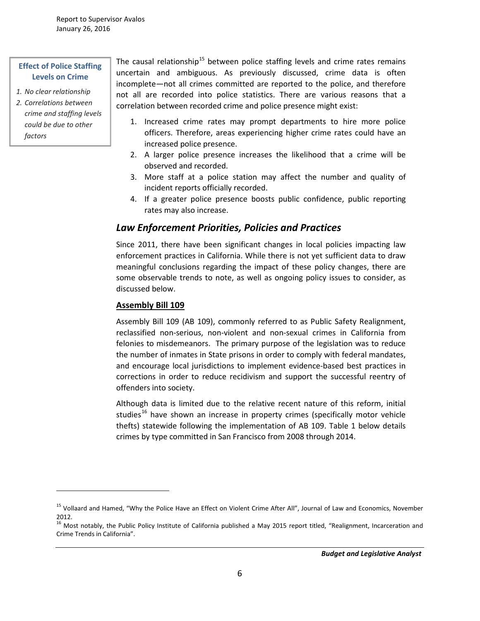#### **Effect of Police Staffing Levels on Crime**

- *1. No clear relationship*
- *2. Correlations between crime and staffing levels could be due to other factors*

 $\overline{a}$ 

The causal relationship<sup>[15](#page-5-0)</sup> between police staffing levels and crime rates remains uncertain and ambiguous. As previously discussed, crime data is often incomplete—not all crimes committed are reported to the police, and therefore not all are recorded into police statistics. There are various reasons that a correlation between recorded crime and police presence might exist:

- 1. Increased crime rates may prompt departments to hire more police officers. Therefore, areas experiencing higher crime rates could have an increased police presence.
- 2. A larger police presence increases the likelihood that a crime will be observed and recorded.
- 3. More staff at a police station may affect the number and quality of incident reports officially recorded.
- 4. If a greater police presence boosts public confidence, public reporting rates may also increase.

# *Law Enforcement Priorities, Policies and Practices*

Since 2011, there have been significant changes in local policies impacting law enforcement practices in California. While there is not yet sufficient data to draw meaningful conclusions regarding the impact of these policy changes, there are some observable trends to note, as well as ongoing policy issues to consider, as discussed below.

#### **Assembly Bill 109**

Assembly Bill 109 (AB 109), commonly referred to as Public Safety Realignment, reclassified non-serious, non-violent and non-sexual crimes in California from felonies to misdemeanors. The primary purpose of the legislation was to reduce the number of inmates in State prisons in order to comply with federal mandates, and encourage local jurisdictions to implement evidence-based best practices in corrections in order to reduce recidivism and support the successful reentry of offenders into society.

Although data is limited due to the relative recent nature of this reform, initial studies<sup>[16](#page-5-1)</sup> have shown an increase in property crimes (specifically motor vehicle thefts) statewide following the implementation of AB 109. Table 1 below details crimes by type committed in San Francisco from 2008 through 2014.

<span id="page-5-0"></span><sup>&</sup>lt;sup>15</sup> Vollaard and Hamed, "Why the Police Have an Effect on Violent Crime After All", Journal of Law and Economics, November 2012.

<span id="page-5-1"></span><sup>&</sup>lt;sup>16</sup> Most notably, the Public Policy Institute of California published a May 2015 report titled, "Realignment, Incarceration and Crime Trends in California".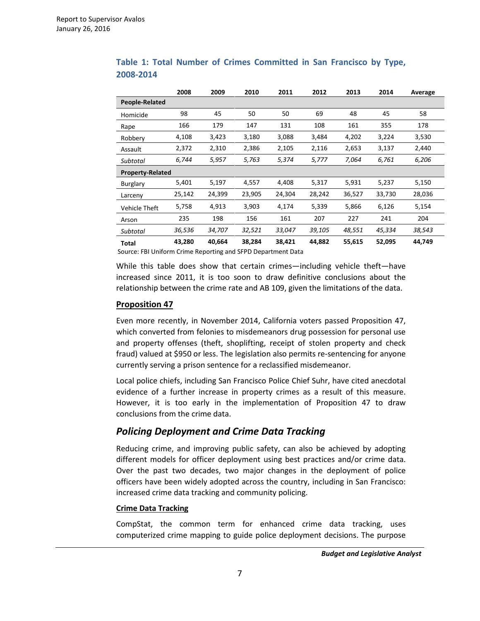|               | 2008                    | 2009   | 2010   | 2011   | 2012   | 2013   | 2014   | Average |
|---------------|-------------------------|--------|--------|--------|--------|--------|--------|---------|
|               | People-Related          |        |        |        |        |        |        |         |
| Homicide      | 98                      | 45     | 50     | 50     | 69     | 48     | 45     | 58      |
| Rape          | 166                     | 179    | 147    | 131    | 108    | 161    | 355    | 178     |
| Robbery       | 4,108                   | 3,423  | 3,180  | 3,088  | 3,484  | 4,202  | 3,224  | 3,530   |
| Assault       | 2,372                   | 2,310  | 2,386  | 2,105  | 2,116  | 2,653  | 3,137  | 2,440   |
| Subtotal      | 6,744                   | 5,957  | 5,763  | 5,374  | 5,777  | 7,064  | 6,761  | 6,206   |
|               | <b>Property-Related</b> |        |        |        |        |        |        |         |
| Burglary      | 5,401                   | 5,197  | 4,557  | 4,408  | 5,317  | 5,931  | 5,237  | 5,150   |
| Larceny       | 25,142                  | 24,399 | 23,905 | 24,304 | 28,242 | 36,527 | 33,730 | 28,036  |
| Vehicle Theft | 5,758                   | 4,913  | 3,903  | 4,174  | 5,339  | 5,866  | 6,126  | 5,154   |
| Arson         | 235                     | 198    | 156    | 161    | 207    | 227    | 241    | 204     |
| Subtotal      | 36,536                  | 34,707 | 32,521 | 33,047 | 39,105 | 48,551 | 45,334 | 38,543  |
| Total         | 43,280                  | 40,664 | 38,284 | 38,421 | 44,882 | 55,615 | 52,095 | 44,749  |

#### **Table 1: Total Number of Crimes Committed in San Francisco by Type, 2008-2014**

Source: FBI Uniform Crime Reporting and SFPD Department Data

While this table does show that certain crimes—including vehicle theft—have increased since 2011, it is too soon to draw definitive conclusions about the relationship between the crime rate and AB 109, given the limitations of the data.

#### **Proposition 47**

Even more recently, in November 2014, California voters passed Proposition 47, which converted from felonies to misdemeanors drug possession for personal use and property offenses (theft, shoplifting, receipt of stolen property and check fraud) valued at \$950 or less. The legislation also permits re-sentencing for anyone currently serving a prison sentence for a reclassified misdemeanor.

Local police chiefs, including San Francisco Police Chief Suhr, have cited anecdotal evidence of a further increase in property crimes as a result of this measure. However, it is too early in the implementation of Proposition 47 to draw conclusions from the crime data.

### *Policing Deployment and Crime Data Tracking*

Reducing crime, and improving public safety, can also be achieved by adopting different models for officer deployment using best practices and/or crime data. Over the past two decades, two major changes in the deployment of police officers have been widely adopted across the country, including in San Francisco: increased crime data tracking and community policing.

#### **Crime Data Tracking**

CompStat, the common term for enhanced crime data tracking, uses computerized crime mapping to guide police deployment decisions. The purpose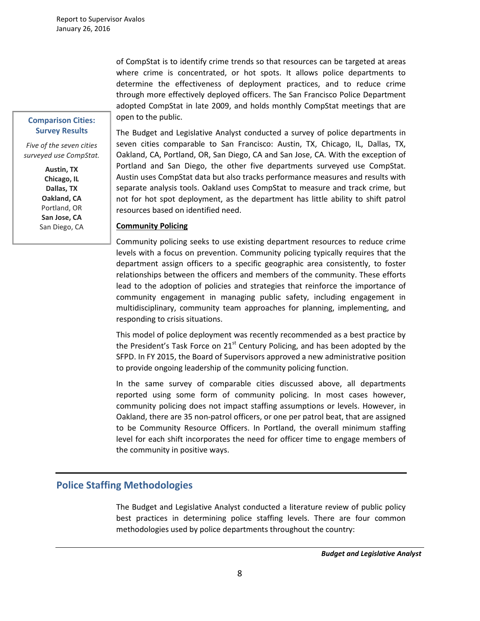of CompStat is to identify crime trends so that resources can be targeted at areas where crime is concentrated, or hot spots. It allows police departments to determine the effectiveness of deployment practices, and to reduce crime through more effectively deployed officers. The San Francisco Police Department adopted CompStat in late 2009, and holds monthly CompStat meetings that are open to the public.

### The Budget and Legislative Analyst conducted a survey of police departments in seven cities comparable to San Francisco: Austin, TX, Chicago, IL, Dallas, TX, Oakland, CA, Portland, OR, San Diego, CA and San Jose, CA. With the exception of Portland and San Diego, the other five departments surveyed use CompStat. Austin uses CompStat data but also tracks performance measures and results with separate analysis tools. Oakland uses CompStat to measure and track crime, but not for hot spot deployment, as the department has little ability to shift patrol resources based on identified need.

#### **Community Policing**

Community policing seeks to use existing department resources to reduce crime levels with a focus on prevention. Community policing typically requires that the department assign officers to a specific geographic area consistently, to foster relationships between the officers and members of the community. These efforts lead to the adoption of policies and strategies that reinforce the importance of community engagement in managing public safety, including engagement in multidisciplinary, community team approaches for planning, implementing, and responding to crisis situations.

This model of police deployment was recently recommended as a best practice by the President's Task Force on  $21<sup>st</sup>$  Century Policing, and has been adopted by the SFPD. In FY 2015, the Board of Supervisors approved a new administrative position to provide ongoing leadership of the community policing function.

In the same survey of comparable cities discussed above, all departments reported using some form of community policing. In most cases however, community policing does not impact staffing assumptions or levels. However, in Oakland, there are 35 non-patrol officers, or one per patrol beat, that are assigned to be Community Resource Officers. In Portland, the overall minimum staffing level for each shift incorporates the need for officer time to engage members of the community in positive ways.

#### **Police Staffing Methodologies**

The Budget and Legislative Analyst conducted a literature review of public policy best practices in determining police staffing levels. There are four common methodologies used by police departments throughout the country:

#### **Comparison Cities: Survey Results**

*Five of the seven cities surveyed use CompStat.*

> **Austin, TX Chicago, IL Dallas, TX Oakland, CA** Portland, OR **San Jose, CA** San Diego, CA

j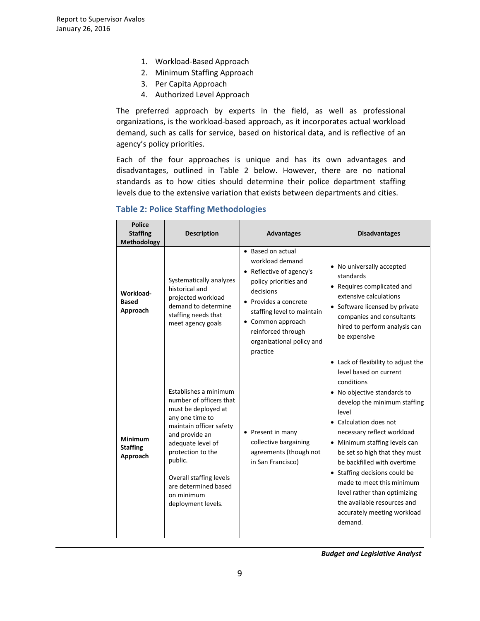- 1. Workload-Based Approach
- 2. Minimum Staffing Approach
- 3. Per Capita Approach
- 4. Authorized Level Approach

The preferred approach by experts in the field, as well as professional organizations, is the workload-based approach, as it incorporates actual workload demand, such as calls for service, based on historical data, and is reflective of an agency's policy priorities.

Each of the four approaches is unique and has its own advantages and disadvantages, outlined in Table 2 below. However, there are no national standards as to how cities should determine their police department staffing levels due to the extensive variation that exists between departments and cities.

| <b>Police</b><br><b>Staffing</b><br>Methodology | <b>Description</b>                                                                                                                                                                                                                                                                  | <b>Advantages</b>                                                                                                                                                                                                                                         | <b>Disadvantages</b>                                                                                                                                                                                                                                                                                                                                                                                                                                                                |
|-------------------------------------------------|-------------------------------------------------------------------------------------------------------------------------------------------------------------------------------------------------------------------------------------------------------------------------------------|-----------------------------------------------------------------------------------------------------------------------------------------------------------------------------------------------------------------------------------------------------------|-------------------------------------------------------------------------------------------------------------------------------------------------------------------------------------------------------------------------------------------------------------------------------------------------------------------------------------------------------------------------------------------------------------------------------------------------------------------------------------|
| Workload-<br><b>Based</b><br>Approach           | Systematically analyzes<br>historical and<br>projected workload<br>demand to determine<br>staffing needs that<br>meet agency goals                                                                                                                                                  | • Based on actual<br>workload demand<br>• Reflective of agency's<br>policy priorities and<br>decisions<br>$\bullet$ Provides a concrete<br>staffing level to maintain<br>• Common approach<br>reinforced through<br>organizational policy and<br>practice | • No universally accepted<br>standards<br>• Requires complicated and<br>extensive calculations<br>• Software licensed by private<br>companies and consultants<br>hired to perform analysis can<br>be expensive                                                                                                                                                                                                                                                                      |
| <b>Minimum</b><br><b>Staffing</b><br>Approach   | Establishes a minimum<br>number of officers that<br>must be deployed at<br>any one time to<br>maintain officer safety<br>and provide an<br>adequate level of<br>protection to the<br>public.<br>Overall staffing levels<br>are determined based<br>on minimum<br>deployment levels. | • Present in many<br>collective bargaining<br>agreements (though not<br>in San Francisco)                                                                                                                                                                 | • Lack of flexibility to adjust the<br>level based on current<br>conditions<br>• No objective standards to<br>develop the minimum staffing<br>level<br>• Calculation does not<br>necessary reflect workload<br>• Minimum staffing levels can<br>be set so high that they must<br>be backfilled with overtime<br>• Staffing decisions could be<br>made to meet this minimum<br>level rather than optimizing<br>the available resources and<br>accurately meeting workload<br>demand. |

### **Table 2: Police Staffing Methodologies**

 *Budget and Legislative Analyst*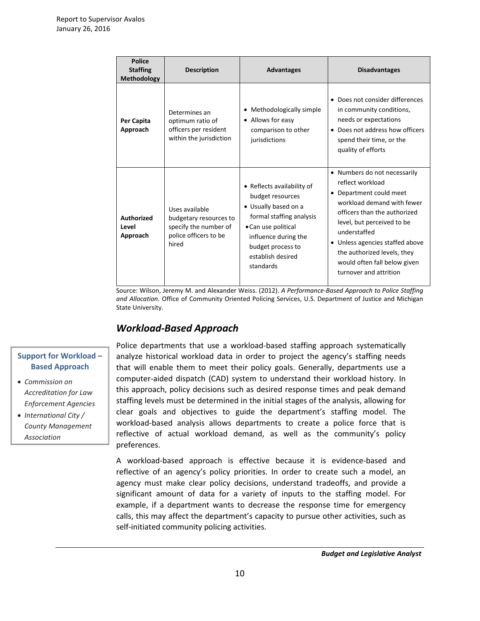| <b>Police</b><br><b>Staffing</b><br>Methodology | <b>Description</b>                                                                                  | <b>Advantages</b>                                                                                                                                                                                        | <b>Disadvantages</b>                                                                                                                                                                                                                                                                                              |
|-------------------------------------------------|-----------------------------------------------------------------------------------------------------|----------------------------------------------------------------------------------------------------------------------------------------------------------------------------------------------------------|-------------------------------------------------------------------------------------------------------------------------------------------------------------------------------------------------------------------------------------------------------------------------------------------------------------------|
| Per Capita<br>Approach                          | Determines an<br>optimum ratio of<br>officers per resident<br>within the jurisdiction               | Methodologically simple<br>• Allows for easy<br>comparison to other<br>jurisdictions                                                                                                                     | • Does not consider differences<br>in community conditions,<br>needs or expectations<br>• Does not address how officers<br>spend their time, or the<br>quality of efforts                                                                                                                                         |
| <b>Authorized</b><br>Level<br>Approach          | Uses available<br>budgetary resources to<br>specify the number of<br>police officers to be<br>hired | • Reflects availability of<br>budget resources<br>• Usually based on a<br>formal staffing analysis<br>• Can use political<br>influence during the<br>budget process to<br>establish desired<br>standards | • Numbers do not necessarily<br>reflect workload<br>• Department could meet<br>workload demand with fewer<br>officers than the authorized<br>level, but perceived to be<br>understaffed<br>Unless agencies staffed above<br>the authorized levels, they<br>would often fall below given<br>turnover and attrition |

Source: Wilson, Jeremy M. and Alexander Weiss. (2012). *A Performance-Based Approach to Police Staffing and Allocation.* Office of Community Oriented Policing Services, U.S. Department of Justice and Michigan State University.

# *Workload-Based Approach*

## **Support for Workload – Based Approach**

- *Commission on Accreditation for Law Enforcement Agencies*
- *International City / County Management Association*

Police departments that use a workload-based staffing approach systematically analyze historical workload data in order to project the agency's staffing needs that will enable them to meet their policy goals. Generally, departments use a computer-aided dispatch (CAD) system to understand their workload history. In this approach, policy decisions such as desired response times and peak demand staffing levels must be determined in the initial stages of the analysis, allowing for clear goals and objectives to guide the department's staffing model. The workload-based analysis allows departments to create a police force that is reflective of actual workload demand, as well as the community's policy preferences.

A workload-based approach is effective because it is evidence-based and reflective of an agency's policy priorities. In order to create such a model, an agency must make clear policy decisions, understand tradeoffs, and provide a significant amount of data for a variety of inputs to the staffing model. For example, if a department wants to decrease the response time for emergency calls, this may affect the department's capacity to pursue other activities, such as self-initiated community policing activities.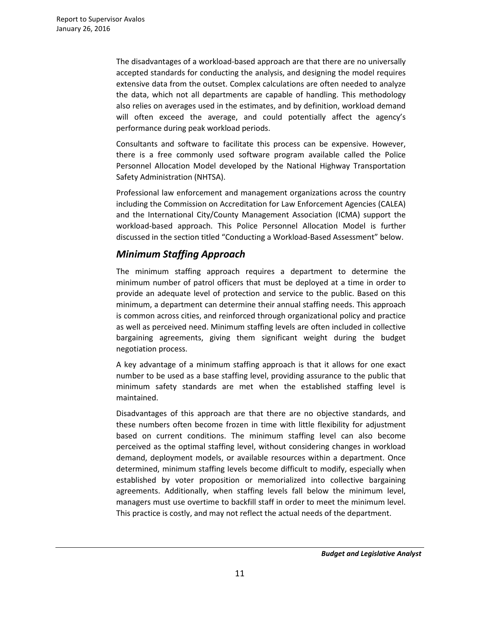The disadvantages of a workload-based approach are that there are no universally accepted standards for conducting the analysis, and designing the model requires extensive data from the outset. Complex calculations are often needed to analyze the data, which not all departments are capable of handling. This methodology also relies on averages used in the estimates, and by definition, workload demand will often exceed the average, and could potentially affect the agency's performance during peak workload periods.

Consultants and software to facilitate this process can be expensive. However, there is a free commonly used software program available called the Police Personnel Allocation Model developed by the National Highway Transportation Safety Administration (NHTSA).

Professional law enforcement and management organizations across the country including the Commission on Accreditation for Law Enforcement Agencies (CALEA) and the International City/County Management Association (ICMA) support the workload-based approach. This Police Personnel Allocation Model is further discussed in the section titled "Conducting a Workload-Based Assessment" below.

# *Minimum Staffing Approach*

The minimum staffing approach requires a department to determine the minimum number of patrol officers that must be deployed at a time in order to provide an adequate level of protection and service to the public. Based on this minimum, a department can determine their annual staffing needs. This approach is common across cities, and reinforced through organizational policy and practice as well as perceived need. Minimum staffing levels are often included in collective bargaining agreements, giving them significant weight during the budget negotiation process.

A key advantage of a minimum staffing approach is that it allows for one exact number to be used as a base staffing level, providing assurance to the public that minimum safety standards are met when the established staffing level is maintained.

Disadvantages of this approach are that there are no objective standards, and these numbers often become frozen in time with little flexibility for adjustment based on current conditions. The minimum staffing level can also become perceived as the optimal staffing level, without considering changes in workload demand, deployment models, or available resources within a department. Once determined, minimum staffing levels become difficult to modify, especially when established by voter proposition or memorialized into collective bargaining agreements. Additionally, when staffing levels fall below the minimum level, managers must use overtime to backfill staff in order to meet the minimum level. This practice is costly, and may not reflect the actual needs of the department.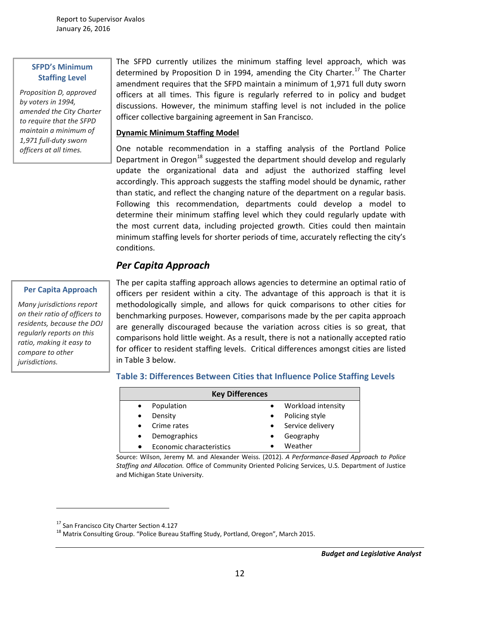#### **SFPD's Minimum Staffing Level**

*Proposition D, approved by voters in 1994, amended the City Charter to require that the SFPD maintain a minimum of 1,971 full-duty sworn officers at all times.* 

#### **Per Capita Approach**

*Many jurisdictions report on their ratio of officers to residents, because the DOJ regularly reports on this ratio, making it easy to compare to other jurisdictions.* 

 $\overline{a}$ 

The SFPD currently utilizes the minimum staffing level approach, which was determined by Proposition D in 1994, amending the City Charter.<sup>[17](#page-11-0)</sup> The Charter amendment requires that the SFPD maintain a minimum of 1,971 full duty sworn officers at all times. This figure is regularly referred to in policy and budget discussions. However, the minimum staffing level is not included in the police officer collective bargaining agreement in San Francisco.

#### **Dynamic Minimum Staffing Model**

One notable recommendation in a staffing analysis of the Portland Police Department in Oregon<sup>[18](#page-11-1)</sup> suggested the department should develop and regularly update the organizational data and adjust the authorized staffing level accordingly. This approach suggests the staffing model should be dynamic, rather than static, and reflect the changing nature of the department on a regular basis. Following this recommendation, departments could develop a model to determine their minimum staffing level which they could regularly update with the most current data, including projected growth. Cities could then maintain minimum staffing levels for shorter periods of time, accurately reflecting the city's conditions.

The per capita staffing approach allows agencies to determine an optimal ratio of officers per resident within a city. The advantage of this approach is that it is methodologically simple, and allows for quick comparisons to other cities for benchmarking purposes. However, comparisons made by the per capita approach are generally discouraged because the variation across cities is so great, that comparisons hold little weight. As a result, there is not a nationally accepted ratio for officer to resident staffing levels. Critical differences amongst cities are listed

# *Per Capita Approach*

in Table 3 below.

#### **Table 3: Differences Between Cities that Influence Police Staffing Levels**

| <b>Key Differences</b>   |           |                    |  |  |  |
|--------------------------|-----------|--------------------|--|--|--|
| Population               | $\bullet$ | Workload intensity |  |  |  |
| Density                  | $\bullet$ | Policing style     |  |  |  |
| Crime rates              | $\bullet$ | Service delivery   |  |  |  |
| Demographics             | $\bullet$ | Geography          |  |  |  |
| Economic characteristics |           | Weather            |  |  |  |

Source: Wilson, Jeremy M. and Alexander Weiss. (2012). *A Performance-Based Approach to Police Staffing and Allocation.* Office of Community Oriented Policing Services, U.S. Department of Justice and Michigan State University.

<span id="page-11-1"></span><span id="page-11-0"></span>

<sup>&</sup>lt;sup>17</sup> San Francisco City Charter Section 4.127<br><sup>18</sup> Matrix Consulting Group. "Police Bureau Staffing Study, Portland, Oregon", March 2015.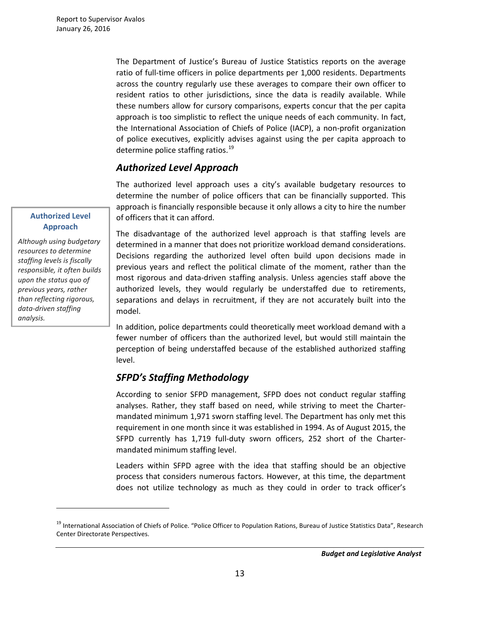The Department of Justice's Bureau of Justice Statistics reports on the average ratio of full-time officers in police departments per 1,000 residents. Departments across the country regularly use these averages to compare their own officer to resident ratios to other jurisdictions, since the data is readily available. While these numbers allow for cursory comparisons, experts concur that the per capita approach is too simplistic to reflect the unique needs of each community. In fact, the International Association of Chiefs of Police (IACP), a non-profit organization of police executives, explicitly advises against using the per capita approach to determine police staffing ratios.<sup>[19](#page-12-0)</sup>

# *Authorized Level Approach*

The authorized level approach uses a city's available budgetary resources to determine the number of police officers that can be financially supported. This approach is financially responsible because it only allows a city to hire the number of officers that it can afford.

The disadvantage of the authorized level approach is that staffing levels are determined in a manner that does not prioritize workload demand considerations. Decisions regarding the authorized level often build upon decisions made in previous years and reflect the political climate of the moment, rather than the most rigorous and data-driven staffing analysis. Unless agencies staff above the authorized levels, they would regularly be understaffed due to retirements, separations and delays in recruitment, if they are not accurately built into the model.

In addition, police departments could theoretically meet workload demand with a fewer number of officers than the authorized level, but would still maintain the perception of being understaffed because of the established authorized staffing level.

# *SFPD's Staffing Methodology*

According to senior SFPD management, SFPD does not conduct regular staffing analyses. Rather, they staff based on need, while striving to meet the Chartermandated minimum 1,971 sworn staffing level. The Department has only met this requirement in one month since it was established in 1994. As of August 2015, the SFPD currently has 1,719 full-duty sworn officers, 252 short of the Chartermandated minimum staffing level.

Leaders within SFPD agree with the idea that staffing should be an objective process that considers numerous factors. However, at this time, the department does not utilize technology as much as they could in order to track officer's

### **Authorized Level Approach**

*Although using budgetary resources to determine staffing levels is fiscally responsible, it often builds upon the status quo of previous years, rather than reflecting rigorous, data-driven staffing analysis.* 

 $\overline{a}$ 

<span id="page-12-0"></span><sup>&</sup>lt;sup>19</sup> International Association of Chiefs of Police. "Police Officer to Population Rations, Bureau of Justice Statistics Data", Research Center Directorate Perspectives.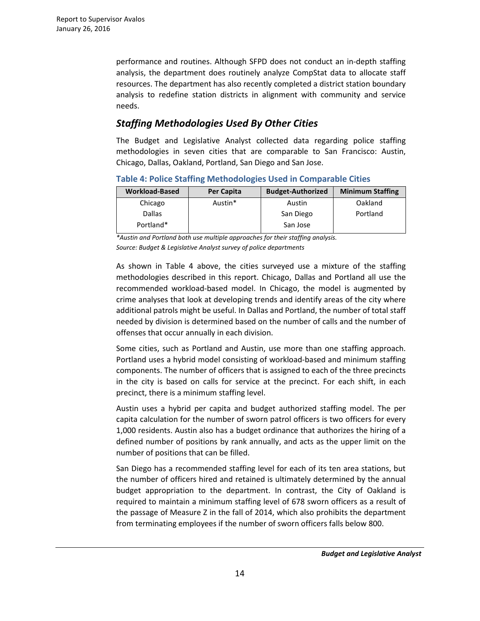performance and routines. Although SFPD does not conduct an in-depth staffing analysis, the department does routinely analyze CompStat data to allocate staff resources. The department has also recently completed a district station boundary analysis to redefine station districts in alignment with community and service needs.

# *Staffing Methodologies Used By Other Cities*

The Budget and Legislative Analyst collected data regarding police staffing methodologies in seven cities that are comparable to San Francisco: Austin, Chicago, Dallas, Oakland, Portland, San Diego and San Jose.

**Table 4: Police Staffing Methodologies Used in Comparable Cities**

| <b>Workload-Based</b> | Per Capita | <b>Budget-Authorized</b> | <b>Minimum Staffing</b> |
|-----------------------|------------|--------------------------|-------------------------|
| Chicago               | Austin*    | Austin                   | Oakland                 |
| <b>Dallas</b>         |            | San Diego                | Portland                |
| Portland*             |            | San Jose                 |                         |

*\*Austin and Portland both use multiple approaches for their staffing analysis. Source: Budget & Legislative Analyst survey of police departments*

As shown in Table 4 above, the cities surveyed use a mixture of the staffing methodologies described in this report. Chicago, Dallas and Portland all use the recommended workload-based model. In Chicago, the model is augmented by crime analyses that look at developing trends and identify areas of the city where additional patrols might be useful. In Dallas and Portland, the number of total staff needed by division is determined based on the number of calls and the number of offenses that occur annually in each division.

Some cities, such as Portland and Austin, use more than one staffing approach. Portland uses a hybrid model consisting of workload-based and minimum staffing components. The number of officers that is assigned to each of the three precincts in the city is based on calls for service at the precinct. For each shift, in each precinct, there is a minimum staffing level.

Austin uses a hybrid per capita and budget authorized staffing model. The per capita calculation for the number of sworn patrol officers is two officers for every 1,000 residents. Austin also has a budget ordinance that authorizes the hiring of a defined number of positions by rank annually, and acts as the upper limit on the number of positions that can be filled.

San Diego has a recommended staffing level for each of its ten area stations, but the number of officers hired and retained is ultimately determined by the annual budget appropriation to the department. In contrast, the City of Oakland is required to maintain a minimum staffing level of 678 sworn officers as a result of the passage of Measure Z in the fall of 2014, which also prohibits the department from terminating employees if the number of sworn officers falls below 800.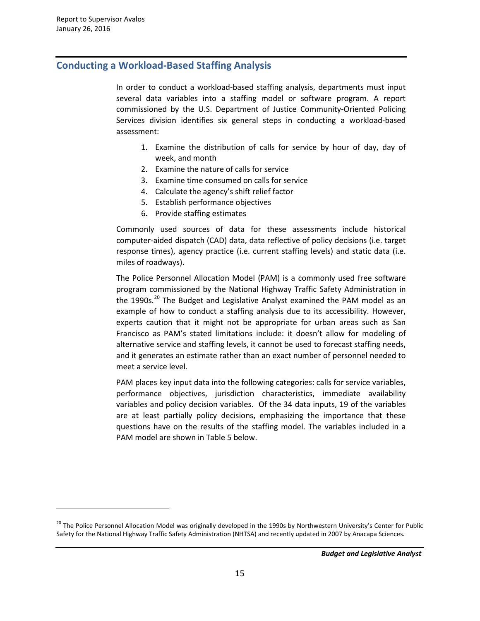$\overline{a}$ 

# **Conducting a Workload-Based Staffing Analysis**

In order to conduct a workload-based staffing analysis, departments must input several data variables into a staffing model or software program. A report commissioned by the U.S. Department of Justice Community-Oriented Policing Services division identifies six general steps in conducting a workload-based assessment:

- 1. Examine the distribution of calls for service by hour of day, day of week, and month
- 2. Examine the nature of calls for service
- 3. Examine time consumed on calls for service
- 4. Calculate the agency's shift relief factor
- 5. Establish performance objectives
- 6. Provide staffing estimates

Commonly used sources of data for these assessments include historical computer-aided dispatch (CAD) data, data reflective of policy decisions (i.e. target response times), agency practice (i.e. current staffing levels) and static data (i.e. miles of roadways).

The Police Personnel Allocation Model (PAM) is a commonly used free software program commissioned by the National Highway Traffic Safety Administration in the 1990s.<sup>[20](#page-14-0)</sup> The Budget and Legislative Analyst examined the PAM model as an example of how to conduct a staffing analysis due to its accessibility. However, experts caution that it might not be appropriate for urban areas such as San Francisco as PAM's stated limitations include: it doesn't allow for modeling of alternative service and staffing levels, it cannot be used to forecast staffing needs, and it generates an estimate rather than an exact number of personnel needed to meet a service level.

PAM places key input data into the following categories: calls for service variables, performance objectives, jurisdiction characteristics, immediate availability variables and policy decision variables. Of the 34 data inputs, 19 of the variables are at least partially policy decisions, emphasizing the importance that these questions have on the results of the staffing model. The variables included in a PAM model are shown in Table 5 below.

<span id="page-14-0"></span><sup>&</sup>lt;sup>20</sup> The Police Personnel Allocation Model was originally developed in the 1990s by Northwestern University's Center for Public Safety for the National Highway Traffic Safety Administration (NHTSA) and recently updated in 2007 by Anacapa Sciences.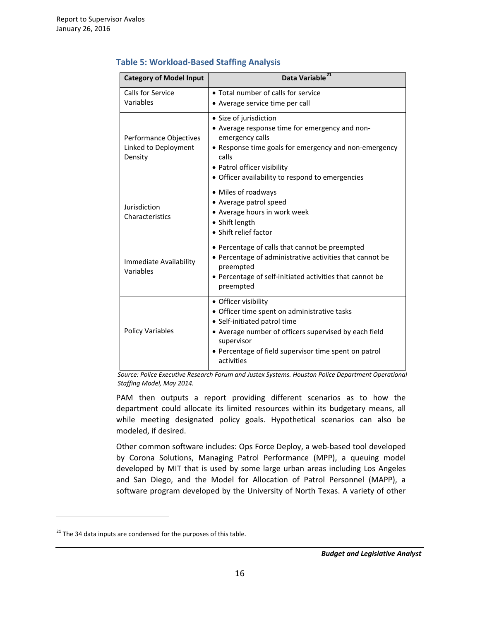| <b>Category of Model Input</b>                            | Data Variable <sup>21</sup>                                                                                                                                                                                                                        |  |  |
|-----------------------------------------------------------|----------------------------------------------------------------------------------------------------------------------------------------------------------------------------------------------------------------------------------------------------|--|--|
| Calls for Service<br>Variables                            | • Total number of calls for service<br>• Average service time per call                                                                                                                                                                             |  |  |
| Performance Objectives<br>Linked to Deployment<br>Density | • Size of jurisdiction<br>• Average response time for emergency and non-<br>emergency calls<br>• Response time goals for emergency and non-emergency<br>calls<br>• Patrol officer visibility<br>· Officer availability to respond to emergencies   |  |  |
| Jurisdiction<br>Characteristics                           | • Miles of roadways<br>• Average patrol speed<br>• Average hours in work week<br>• Shift length<br>• Shift relief factor                                                                                                                           |  |  |
| Immediate Availability<br>Variables                       | • Percentage of calls that cannot be preempted<br>• Percentage of administrative activities that cannot be<br>preempted<br>• Percentage of self-initiated activities that cannot be<br>preempted                                                   |  |  |
| <b>Policy Variables</b>                                   | • Officer visibility<br>• Officer time spent on administrative tasks<br>• Self-initiated patrol time<br>• Average number of officers supervised by each field<br>supervisor<br>• Percentage of field supervisor time spent on patrol<br>activities |  |  |

#### **Table 5: Workload-Based Staffing Analysis**

 *Source: Police Executive Research Forum and Justex Systems. Houston Police Department Operational Staffing Model, May 2014.* 

PAM then outputs a report providing different scenarios as to how the department could allocate its limited resources within its budgetary means, all while meeting designated policy goals. Hypothetical scenarios can also be modeled, if desired.

Other common software includes: Ops Force Deploy, a web-based tool developed by Corona Solutions, Managing Patrol Performance (MPP), a queuing model developed by MIT that is used by some large urban areas including Los Angeles and San Diego, and the Model for Allocation of Patrol Personnel (MAPP), a software program developed by the University of North Texas. A variety of other

 $\overline{a}$ 

<span id="page-15-0"></span> $21$ <sup>21</sup> The 34 data inputs are condensed for the purposes of this table.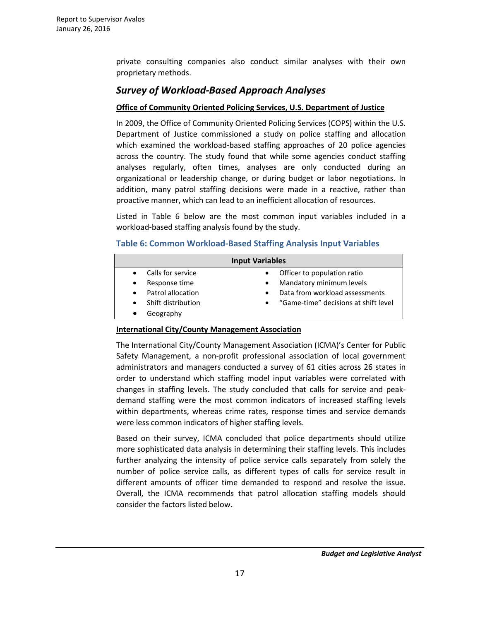private consulting companies also conduct similar analyses with their own proprietary methods.

# *Survey of Workload-Based Approach Analyses*

### **Office of Community Oriented Policing Services, U.S. Department of Justice**

In 2009, the Office of Community Oriented Policing Services (COPS) within the U.S. Department of Justice commissioned a study on police staffing and allocation which examined the workload-based staffing approaches of 20 police agencies across the country. The study found that while some agencies conduct staffing analyses regularly, often times, analyses are only conducted during an organizational or leadership change, or during budget or labor negotiations. In addition, many patrol staffing decisions were made in a reactive, rather than proactive manner, which can lead to an inefficient allocation of resources.

Listed in Table 6 below are the most common input variables included in a workload-based staffing analysis found by the study.

### **Table 6: Common Workload-Based Staffing Analysis Input Variables**

| <b>Input Variables</b> |                    |           |                                      |  |
|------------------------|--------------------|-----------|--------------------------------------|--|
|                        | Calls for service  |           | Officer to population ratio          |  |
| $\bullet$              | Response time      |           | Mandatory minimum levels             |  |
| $\bullet$              | Patrol allocation  |           | Data from workload assessments       |  |
| $\bullet$              | Shift distribution | $\bullet$ | "Game-time" decisions at shift level |  |
|                        | Geography          |           |                                      |  |

#### **International City/County Management Association**

The International City/County Management Association (ICMA)'s Center for Public Safety Management, a non-profit professional association of local government administrators and managers conducted a survey of 61 cities across 26 states in order to understand which staffing model input variables were correlated with changes in staffing levels. The study concluded that calls for service and peakdemand staffing were the most common indicators of increased staffing levels within departments, whereas crime rates, response times and service demands were less common indicators of higher staffing levels.

Based on their survey, ICMA concluded that police departments should utilize more sophisticated data analysis in determining their staffing levels. This includes further analyzing the intensity of police service calls separately from solely the number of police service calls, as different types of calls for service result in different amounts of officer time demanded to respond and resolve the issue. Overall, the ICMA recommends that patrol allocation staffing models should consider the factors listed below.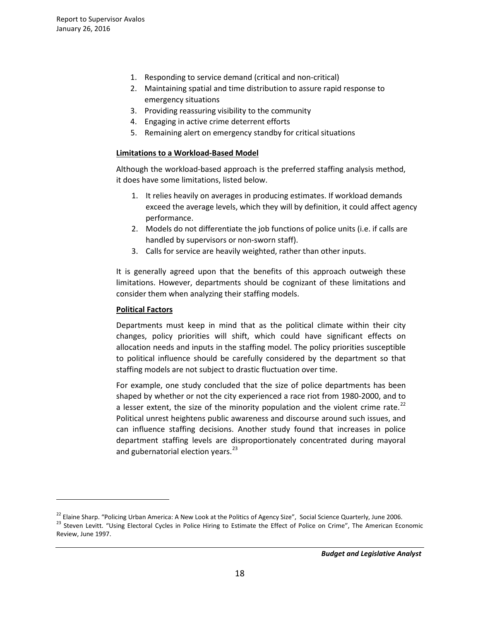- 1. Responding to service demand (critical and non-critical)
- 2. Maintaining spatial and time distribution to assure rapid response to emergency situations
- 3. Providing reassuring visibility to the community
- 4. Engaging in active crime deterrent efforts
- 5. Remaining alert on emergency standby for critical situations

#### **Limitations to a Workload-Based Model**

Although the workload-based approach is the preferred staffing analysis method, it does have some limitations, listed below.

- 1. It relies heavily on averages in producing estimates. If workload demands exceed the average levels, which they will by definition, it could affect agency performance.
- 2. Models do not differentiate the job functions of police units (i.e. if calls are handled by supervisors or non-sworn staff).
- 3. Calls for service are heavily weighted, rather than other inputs.

It is generally agreed upon that the benefits of this approach outweigh these limitations. However, departments should be cognizant of these limitations and consider them when analyzing their staffing models.

#### **Political Factors**

 $\overline{a}$ 

Departments must keep in mind that as the political climate within their city changes, policy priorities will shift, which could have significant effects on allocation needs and inputs in the staffing model. The policy priorities susceptible to political influence should be carefully considered by the department so that staffing models are not subject to drastic fluctuation over time.

For example, one study concluded that the size of police departments has been shaped by whether or not the city experienced a race riot from 1980-2000, and to a lesser extent, the size of the minority population and the violent crime rate.<sup>[22](#page-17-0)</sup> Political unrest heightens public awareness and discourse around such issues, and can influence staffing decisions. Another study found that increases in police department staffing levels are disproportionately concentrated during mayoral and gubernatorial election years. $^{23}$  $^{23}$  $^{23}$ 

<span id="page-17-1"></span><span id="page-17-0"></span><sup>&</sup>lt;sup>22</sup> Elaine Sharp. "Policing Urban America: A New Look at the Politics of Agency Size", Social Science Quarterly, June 2006.<br><sup>23</sup> Steven Levitt. "Using Electoral Cycles in Police Hiring to Estimate the Effect of Police on Review, June 1997.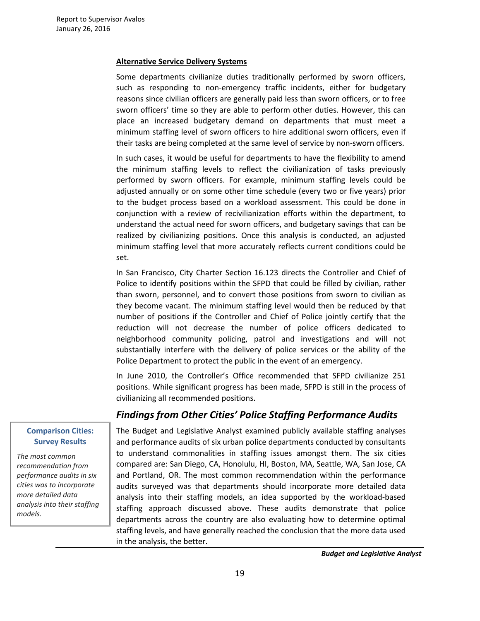#### **Alternative Service Delivery Systems**

Some departments civilianize duties traditionally performed by sworn officers, such as responding to non-emergency traffic incidents, either for budgetary reasons since civilian officers are generally paid less than sworn officers, or to free sworn officers' time so they are able to perform other duties. However, this can place an increased budgetary demand on departments that must meet a minimum staffing level of sworn officers to hire additional sworn officers, even if their tasks are being completed at the same level of service by non-sworn officers.

In such cases, it would be useful for departments to have the flexibility to amend the minimum staffing levels to reflect the civilianization of tasks previously performed by sworn officers. For example, minimum staffing levels could be adjusted annually or on some other time schedule (every two or five years) prior to the budget process based on a workload assessment. This could be done in conjunction with a review of recivilianization efforts within the department, to understand the actual need for sworn officers, and budgetary savings that can be realized by civilianizing positions. Once this analysis is conducted, an adjusted minimum staffing level that more accurately reflects current conditions could be set.

In San Francisco, City Charter Section 16.123 directs the Controller and Chief of Police to identify positions within the SFPD that could be filled by civilian, rather than sworn, personnel, and to convert those positions from sworn to civilian as they become vacant. The minimum staffing level would then be reduced by that number of positions if the Controller and Chief of Police jointly certify that the reduction will not decrease the number of police officers dedicated to neighborhood community policing, patrol and investigations and will not substantially interfere with the delivery of police services or the ability of the Police Department to protect the public in the event of an emergency.

In June 2010, the Controller's Office recommended that SFPD civilianize 251 positions. While significant progress has been made, SFPD is still in the process of civilianizing all recommended positions.

# *Findings from Other Cities' Police Staffing Performance Audits*

**Comparison Cities: Survey Results**

*The most common recommendation from performance audits in six cities was to incorporate more detailed data analysis into their staffing models.* 

֠

The Budget and Legislative Analyst examined publicly available staffing analyses and performance audits of six urban police departments conducted by consultants to understand commonalities in staffing issues amongst them. The six cities compared are: San Diego, CA, Honolulu, HI, Boston, MA, Seattle, WA, San Jose, CA and Portland, OR. The most common recommendation within the performance audits surveyed was that departments should incorporate more detailed data analysis into their staffing models, an idea supported by the workload-based staffing approach discussed above. These audits demonstrate that police departments across the country are also evaluating how to determine optimal staffing levels, and have generally reached the conclusion that the more data used in the analysis, the better.